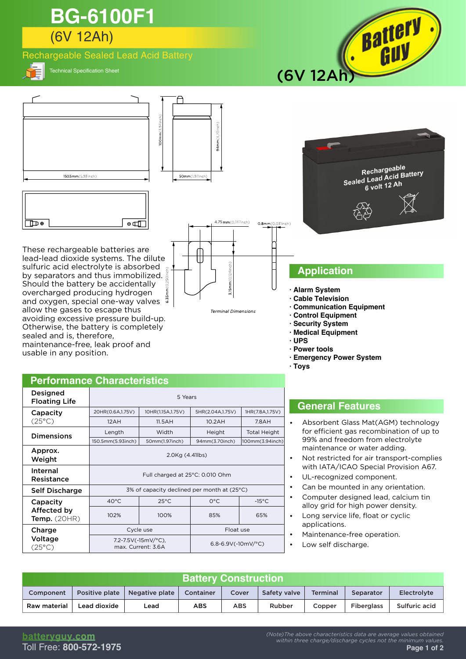# (6V 12Ah) **BG-6100F1**

## Rechargeable Sealed Lead Acid Battery



Technical Specification Sheet





**Terminal Dimensions** 

- **· Alarm System**
- **· Cable Television**
- **· Communication Equipment**
- **· Control Equipment**
- **· Security System**
- **· Medical Equipment · UPS**
- **· Power tools**
- **· Emergency Power System**
- **· Toys**

## **Performance Characteristics**

overcharged producing hydrogen and oxygen, special one-way valves  $\frac{8}{3}$ 

allow the gases to escape thus avoiding excessive pressure build-up. Otherwise, the battery is completely

maintenance-free, leak proof and

sealed and is, therefore,

usable in any position.

| Designed<br><b>Floating Life</b>     | 5 Years                                     |                                           |                        |                     |  |  |  |
|--------------------------------------|---------------------------------------------|-------------------------------------------|------------------------|---------------------|--|--|--|
| Capacity                             | 20HR(0.6A,1.75V)                            | 10HR(1.15A,1.75V)                         | 5HR(2.04A,1.75V)       | 1HR(7.8A,1.75V)     |  |  |  |
| (25°C)                               | 12AH                                        | 11.5AH                                    | 10.2AH                 | 7.8AH               |  |  |  |
| <b>Dimensions</b>                    | Length                                      | Width                                     | Height                 | <b>Total Height</b> |  |  |  |
|                                      | 150.5mm(5.93inch)                           | 50mm(1.97inch)                            | 94mm(3.70inch)         | 100mm(3.94inch)     |  |  |  |
| Approx.<br>Weight                    | 2.0Kg (4.41lbs)                             |                                           |                        |                     |  |  |  |
| <b>Internal</b><br>Resistance        | Full charged at 25°C: 0.010 Ohm             |                                           |                        |                     |  |  |  |
| <b>Self Discharge</b>                | 3% of capacity declined per month at (25°C) |                                           |                        |                     |  |  |  |
| Capacity                             | $40^{\circ}$ C                              | $25^{\circ}$ C                            | $O^{\circ}C$           | $-15^{\circ}$ C     |  |  |  |
| Affected by<br><b>Temp.</b> $(20HR)$ | 102%                                        | 100%                                      | 85%                    | 65%                 |  |  |  |
| Charge                               |                                             | Cycle use                                 | Float use              |                     |  |  |  |
| Voltage<br>(25°C)                    |                                             | 7.2-7.5V(-15mV/°C),<br>max. Current: 3.6A | 6.8-6.9V(-10mV/ $°C$ ) |                     |  |  |  |

## **General Features**

- Absorbent Glass Mat(AGM) technology for efficient gas recombination of up to 99% and freedom from electrolyte maintenance or water adding.
- Not restricted for air transport-complies with IATA/ICAO Special Provision A67.
- UL-recognized component.
- Can be mounted in any orientation.
- Computer designed lead, calcium tin alloy grid for high power density.
- Long service life, float or cyclic applications.
- Maintenance-free operation.
- Low self discharge.

•

| <b>Battery Construction</b> |                |                |                  |       |              |                 |                   |               |  |  |
|-----------------------------|----------------|----------------|------------------|-------|--------------|-----------------|-------------------|---------------|--|--|
| Component                   | Positive plate | Negative plate | <b>Container</b> | Cover | Safety valve | <b>Terminal</b> | Separator         | Electrolyte   |  |  |
| Raw material                | Lead dioxide   | Lead           | <b>ABS</b>       | ABS   | Rubber       | Copper          | <b>Fiberglass</b> | Sulfuric acid |  |  |